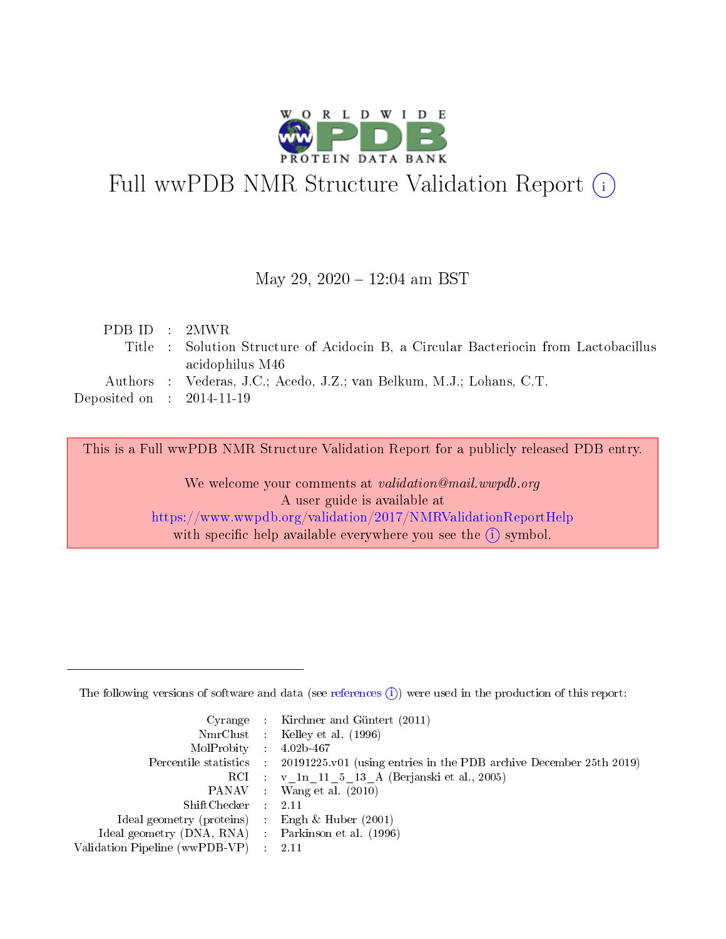

# Full wwPDB NMR Structure Validation Report (i)

## May 29, 2020 - 12:04 am BST

| Title : Solution Structure of Acidocin B, a Circular Bacteriocin from Lactobacillus |
|-------------------------------------------------------------------------------------|
|                                                                                     |
|                                                                                     |
|                                                                                     |
|                                                                                     |

This is a Full wwPDB NMR Structure Validation Report for a publicly released PDB entry.

We welcome your comments at *validation@mail.wwpdb.org* A user guide is available at <https://www.wwpdb.org/validation/2017/NMRValidationReportHelp> with specific help available everywhere you see the  $(i)$  symbol.

The following versions of software and data (see [references](https://www.wwpdb.org/validation/2017/NMRValidationReportHelp#references)  $(1)$ ) were used in the production of this report:

|                                                     | Cyrange : Kirchner and Güntert $(2011)$                                                    |
|-----------------------------------------------------|--------------------------------------------------------------------------------------------|
|                                                     | NmrClust : Kelley et al. (1996)                                                            |
| $MolProbability$ 4.02b-467                          |                                                                                            |
|                                                     | Percentile statistics : 20191225.v01 (using entries in the PDB archive December 25th 2019) |
|                                                     | RCI : $v \ln 11$ 5 13 A (Berjanski et al., 2005)                                           |
|                                                     | PANAV : Wang et al. (2010)                                                                 |
| ShiftChecker : 2.11                                 |                                                                                            |
| Ideal geometry (proteins) : Engh $\&$ Huber (2001)  |                                                                                            |
| Ideal geometry (DNA, RNA) : Parkinson et al. (1996) |                                                                                            |
| Validation Pipeline (wwPDB-VP)                      | -2.11                                                                                      |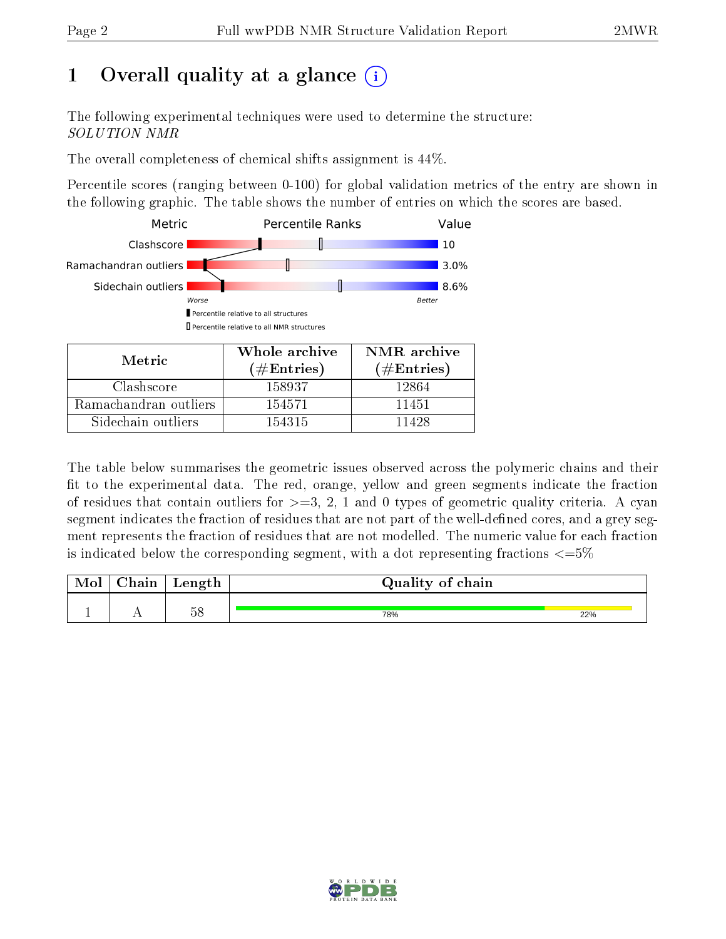## 1 [O](https://www.wwpdb.org/validation/2017/NMRValidationReportHelp#overall_quality)verall quality at a glance  $(i)$

The following experimental techniques were used to determine the structure: SOLUTION NMR

The overall completeness of chemical shifts assignment is 44%.

Percentile scores (ranging between 0-100) for global validation metrics of the entry are shown in the following graphic. The table shows the number of entries on which the scores are based.



Sidechain outliers  $\vert$  154315 11428

The table below summarises the geometric issues observed across the polymeric chains and their fit to the experimental data. The red, orange, yellow and green segments indicate the fraction of residues that contain outliers for  $>=3, 2, 1$  and 0 types of geometric quality criteria. A cyan segment indicates the fraction of residues that are not part of the well-defined cores, and a grey segment represents the fraction of residues that are not modelled. The numeric value for each fraction is indicated below the corresponding segment, with a dot representing fractions  $\epsilon = 5\%$ 

| <b>NIOI</b> | ${\rm Chain}$ | $on \alpha + h$<br>neugun | Quality of chain |     |
|-------------|---------------|---------------------------|------------------|-----|
|             | . .           | 58                        | 78%              | 22% |

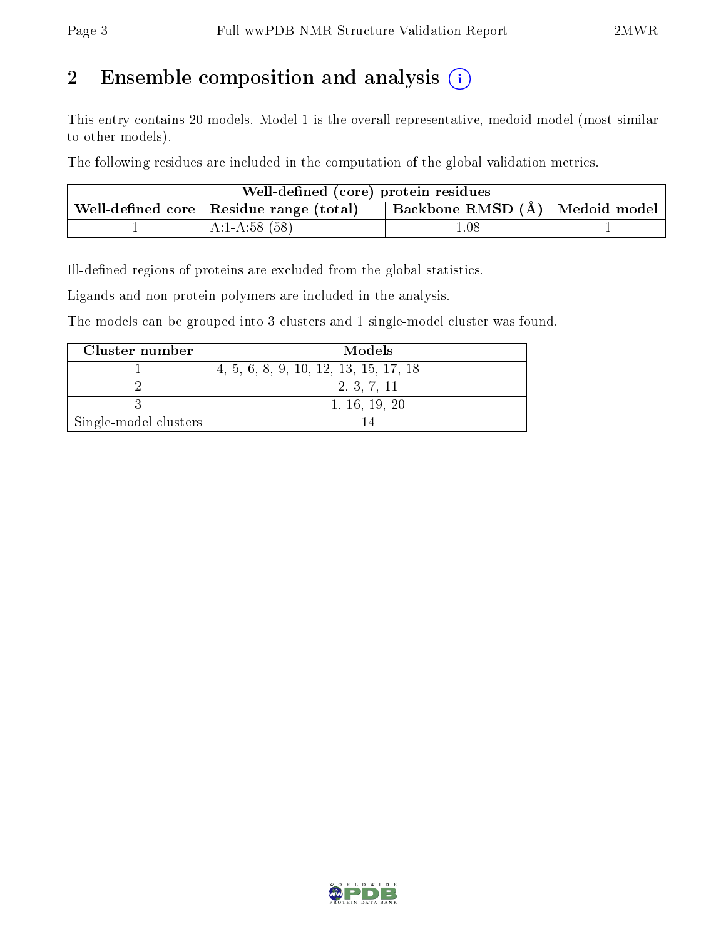## 2 Ensemble composition and analysis  $(i)$

This entry contains 20 models. Model 1 is the overall representative, medoid model (most similar to other models).

The following residues are included in the computation of the global validation metrics.

| Well-defined (core) protein residues |                                                                                   |      |  |  |  |  |  |
|--------------------------------------|-----------------------------------------------------------------------------------|------|--|--|--|--|--|
|                                      | Backbone RMSD (Å) Medoid model<br>Well-defined core $\vert$ Residue range (total) |      |  |  |  |  |  |
|                                      | $A:1-A:58(58)$                                                                    | 0.08 |  |  |  |  |  |

Ill-defined regions of proteins are excluded from the global statistics.

Ligands and non-protein polymers are included in the analysis.

The models can be grouped into 3 clusters and 1 single-model cluster was found.

| Cluster number        | Models                                |
|-----------------------|---------------------------------------|
|                       | 4, 5, 6, 8, 9, 10, 12, 13, 15, 17, 18 |
|                       | 2, 3, 7, 11                           |
|                       | 1, 16, 19, 20                         |
| Single-model clusters |                                       |

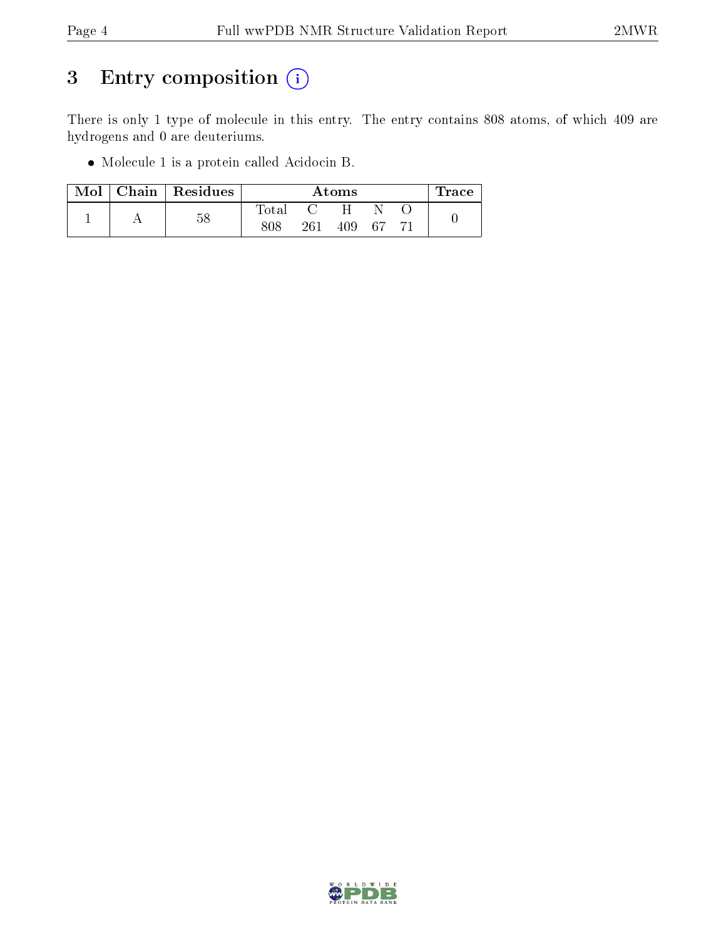## 3 Entry composition (i)

There is only 1 type of molecule in this entry. The entry contains 808 atoms, of which 409 are hydrogens and 0 are deuteriums.

Molecule 1 is a protein called Acidocin B.

| Mol | Chain   Residues |       | $\operatorname{Trace}$ |     |      |  |  |
|-----|------------------|-------|------------------------|-----|------|--|--|
|     | 58               | Total |                        |     |      |  |  |
|     |                  | 808   | 261                    | 409 | - 67 |  |  |

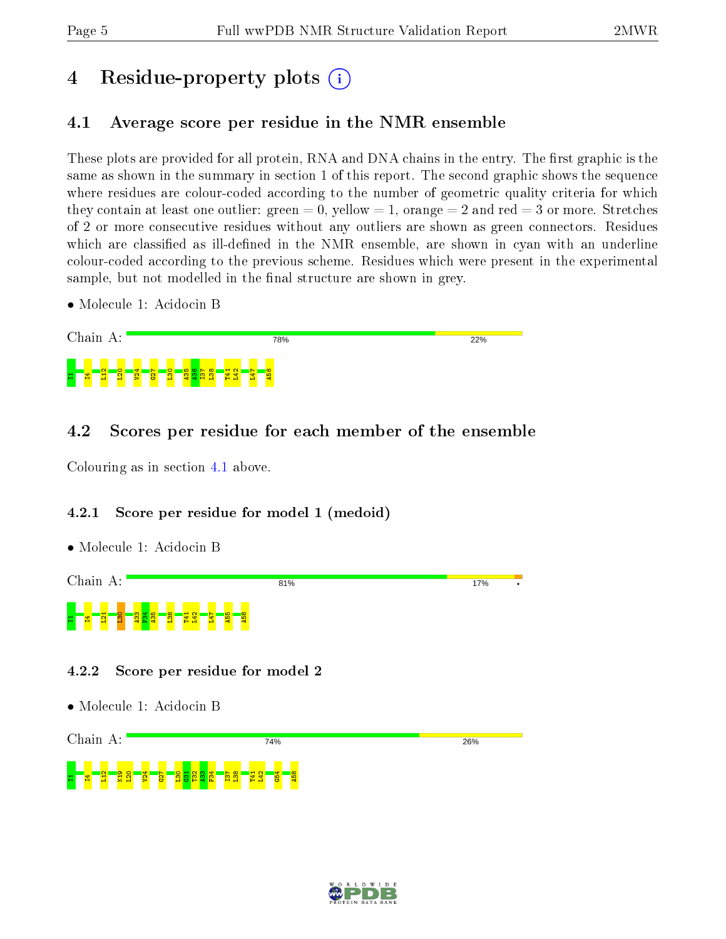## 4 Residue-property plots  $\binom{1}{1}$

## <span id="page-4-0"></span>4.1 Average score per residue in the NMR ensemble

These plots are provided for all protein, RNA and DNA chains in the entry. The first graphic is the same as shown in the summary in section 1 of this report. The second graphic shows the sequence where residues are colour-coded according to the number of geometric quality criteria for which they contain at least one outlier: green  $= 0$ , yellow  $= 1$ , orange  $= 2$  and red  $= 3$  or more. Stretches of 2 or more consecutive residues without any outliers are shown as green connectors. Residues which are classified as ill-defined in the NMR ensemble, are shown in cyan with an underline colour-coded according to the previous scheme. Residues which were present in the experimental sample, but not modelled in the final structure are shown in grey.

• Molecule 1: Acidocin B



## 4.2 Scores per residue for each member of the ensemble

Colouring as in section [4.1](#page-4-0) above.

HL<mark>4L3L3</mark>

 $\frac{1}{2}$  $\frac{4}{2}$  $\overline{\mathbf{S}}$  $\frac{8}{2}$  $\frac{7}{2}$  $\frac{1}{2}$  $\frac{3}{2}$  $\frac{4}{10}$ I37  $\frac{8}{2}$ T41  $\frac{22}{1}$  $\frac{4}{5}$ A58

## 4.2.1 Score per residue for model 1 (medoid)

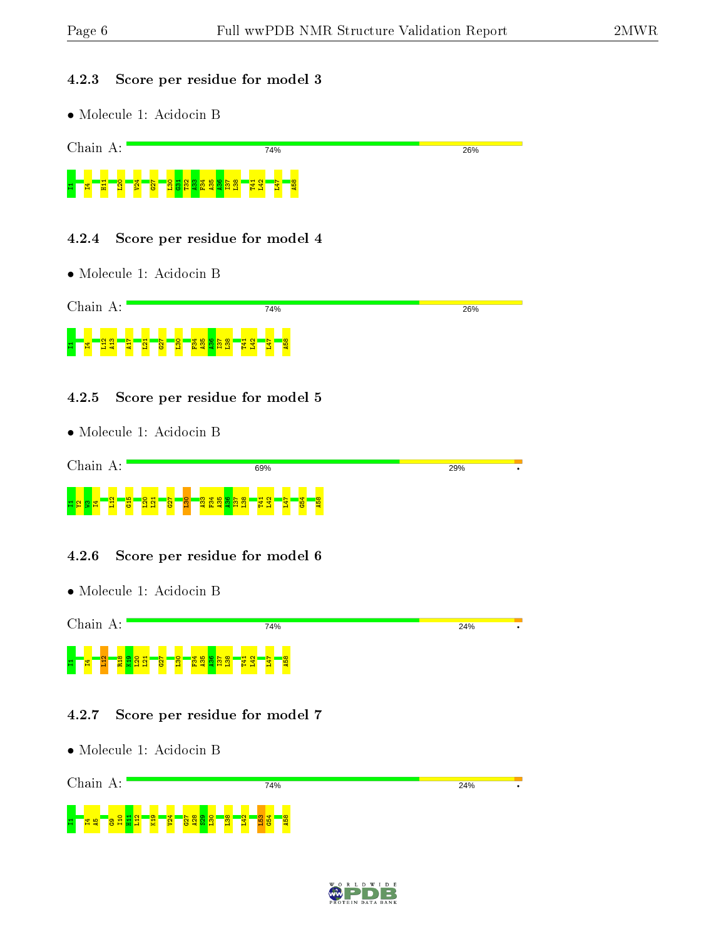#### 4.2.3 Score per residue for model 3



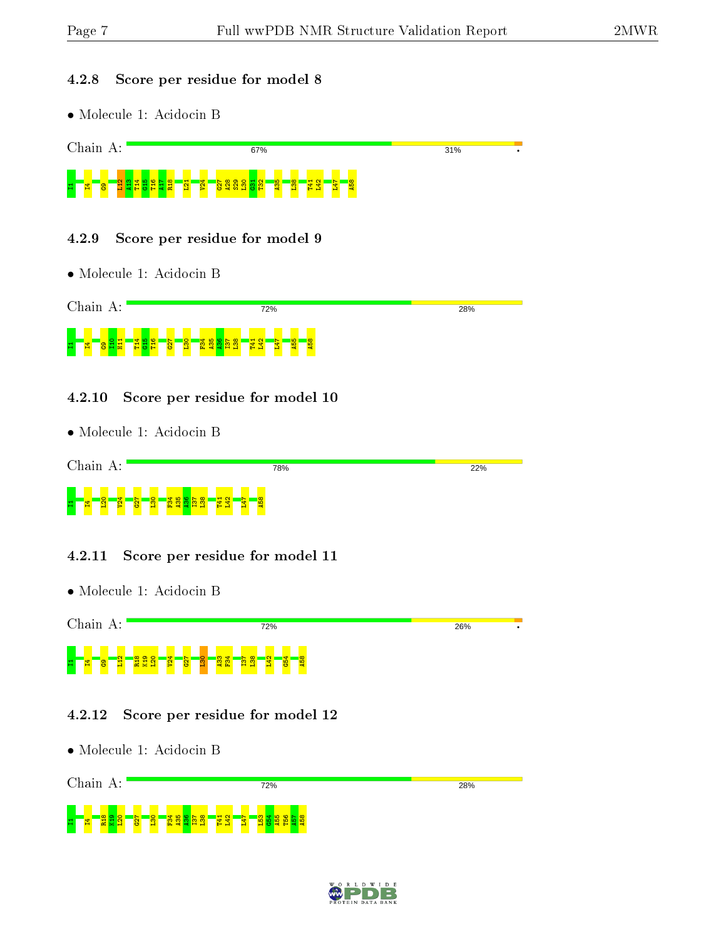#### 4.2.8 Score per residue for model 8

• Molecule 1: Acidocin B



### 4.2.9 Score per residue for model 9

• Molecule 1: Acidocin B



### 4.2.10 Score per residue for model 10

• Molecule 1: Acidocin B



### 4.2.11 Score per residue for model 11

• Molecule 1: Acidocin B



### 4.2.12 Score per residue for model 12



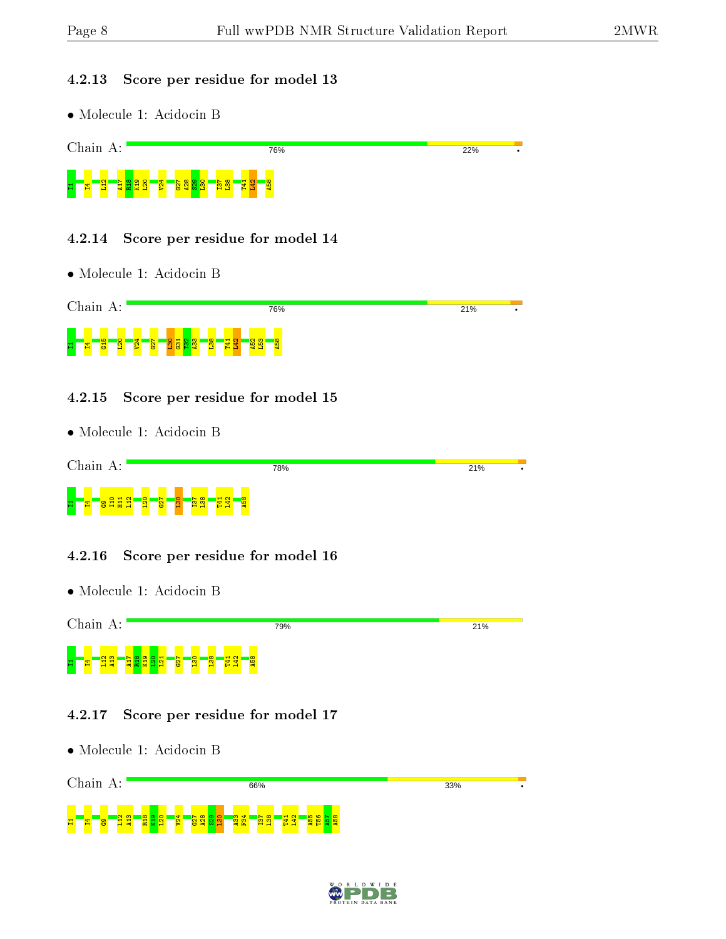1T15<mark>aT2</mark>

 $\frac{2}{4}$ R18  $\frac{9}{2}$  $\frac{1}{20}$  $\frac{1}{2}$  $\frac{27}{2}$ A28  $\frac{2}{3}$  $\frac{8}{1}$  $\frac{33}{4}$  $\frac{4}{5}$ I37  $\frac{8}{2}$ T41  $\frac{1}{2}$ A55 T56  $\frac{1}{2}$ A58

#### 4.2.13 Score per residue for model 13

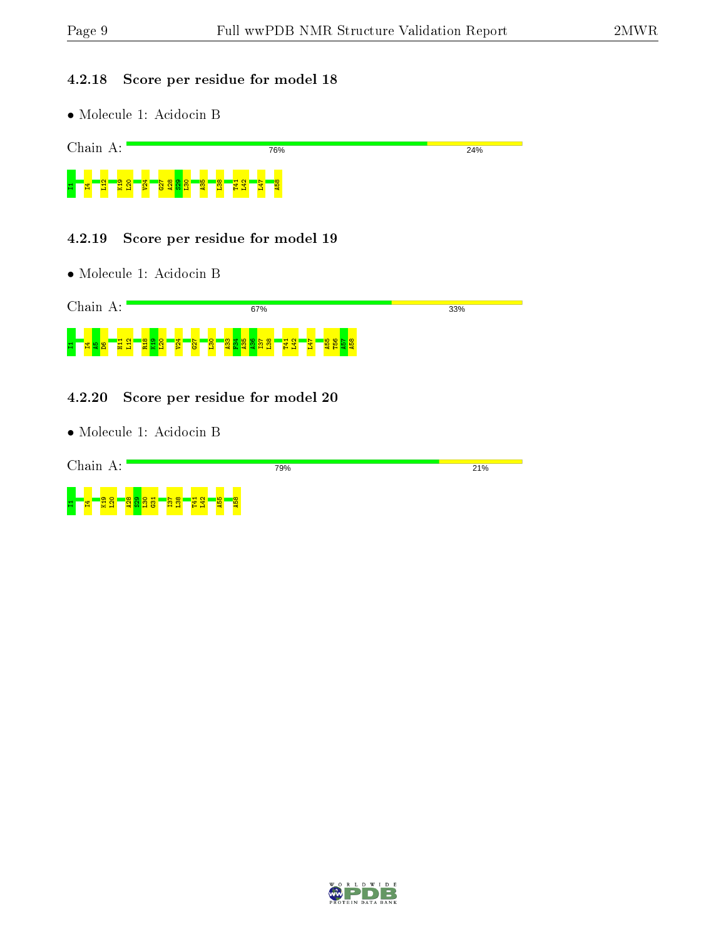### 4.2.18 Score per residue for model 18





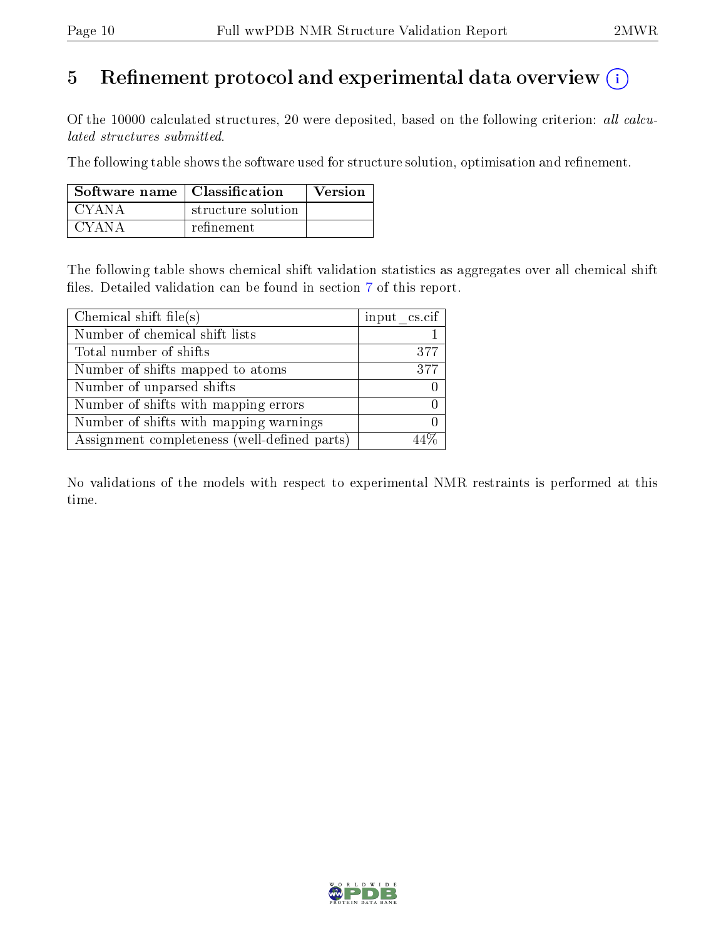## 5 Refinement protocol and experimental data overview  $\binom{1}{k}$

Of the 10000 calculated structures, 20 were deposited, based on the following criterion: all calculated structures submitted.

The following table shows the software used for structure solution, optimisation and refinement.

| Software name $\vert$ Classification |                    | <b>Version</b> |
|--------------------------------------|--------------------|----------------|
| CYANA                                | structure solution |                |
| CYANA                                | refinement         |                |

The following table shows chemical shift validation statistics as aggregates over all chemical shift files. Detailed validation can be found in section [7](#page-14-0) of this report.

| Chemical shift file(s)                       | input cs.cif |
|----------------------------------------------|--------------|
| Number of chemical shift lists               |              |
| Total number of shifts                       | 377          |
| Number of shifts mapped to atoms             | 377          |
| Number of unparsed shifts                    |              |
| Number of shifts with mapping errors         |              |
| Number of shifts with mapping warnings       |              |
| Assignment completeness (well-defined parts) |              |

No validations of the models with respect to experimental NMR restraints is performed at this time.

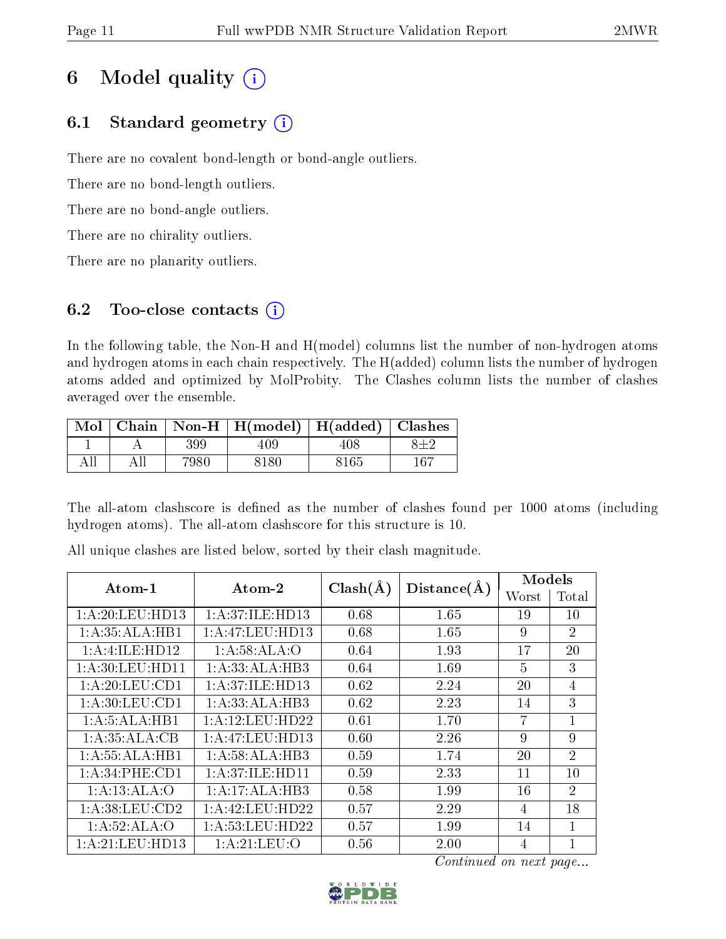## 6 Model quality  $(i)$

## 6.1 Standard geometry  $(i)$

There are no covalent bond-length or bond-angle outliers.

There are no bond-length outliers.

There are no bond-angle outliers.

There are no chirality outliers.

There are no planarity outliers.

## 6.2 Too-close contacts  $(i)$

In the following table, the Non-H and H(model) columns list the number of non-hydrogen atoms and hydrogen atoms in each chain respectively. The H(added) column lists the number of hydrogen atoms added and optimized by MolProbity. The Clashes column lists the number of clashes averaged over the ensemble.

| $\operatorname{Mol}$ |       | $\vert$ Chain $\vert$ Non-H $\vert$ H(model) $\vert$ H(added) $\vert$ Clashes |      |     |
|----------------------|-------|-------------------------------------------------------------------------------|------|-----|
|                      | 399   | 409.                                                                          | 408  |     |
|                      | 7980. | 8180                                                                          | 8165 | 167 |

The all-atom clashscore is defined as the number of clashes found per 1000 atoms (including hydrogen atoms). The all-atom clashscore for this structure is 10.

| $Atom-1$           | Atom-2             | $Clash(\AA)$ | Distance(A) | Models         |                |
|--------------------|--------------------|--------------|-------------|----------------|----------------|
|                    |                    |              |             | Worst          | Total          |
| 1: A:20:LEU:HD13   | 1: A:37: ILE: HD13 | 0.68         | 1.65        | 19             | 10             |
| 1:A:35:ALA:HB1     | 1:A:47:LEU:HD13    | 0.68         | 1.65        | 9              | $\overline{2}$ |
| 1: A: 4: ILE: HD12 | 1:A:58:ALA:O       | 0.64         | 1.93        | 17             | 20             |
| 1: A:30: LEU:HD11  | 1:A:33:ALA:HB3     | 0.64         | 1.69        | $\overline{5}$ | 3              |
| 1: A:20:LEU:CD1    | 1: A:37: ILE: HD13 | 0.62         | 2.24        | 20             | $\overline{4}$ |
| 1: A:30:LEU:CD1    | 1:A:33:ALA:HB3     | 0.62         | 2.23        | 14             | 3              |
| 1:A:5:ALA:HB1      | 1:A:12:LEU:HD22    | 0.61         | 1.70        | 7              | 1              |
| 1:A:35:ALA:CB      | 1:A:47:LEU:HD13    | 0.60         | 2.26        | 9              | 9              |
| 1:A:55:ALA:HB1     | 1:A:58:ALA:HB3     | 0.59         | 1.74        | 20             | $\overline{2}$ |
| 1:A:34:PHE:CD1     | 1: A:37: ILE: HDI1 | 0.59         | 2.33        | 11             | 10             |
| 1:A:13:ALA:O       | 1:A:17:ALA:HB3     | 0.58         | 1.99        | 16             | $\overline{2}$ |
| 1:A:38:LEU:CD2     | 1:A:42:LEU:HD22    | 0.57         | 2.29        | 4              | 18             |
| 1:A:52:ALA:O       | 1:A:53:LEU:HD22    | 0.57         | 1.99        | 14             | 1              |
| 1:A:21:LEU:HD13    | 1: A:21:LEU:O      | 0.56         | 2.00        | 4              | $\mathbf{1}$   |

All unique clashes are listed below, sorted by their clash magnitude.

Continued on next page...

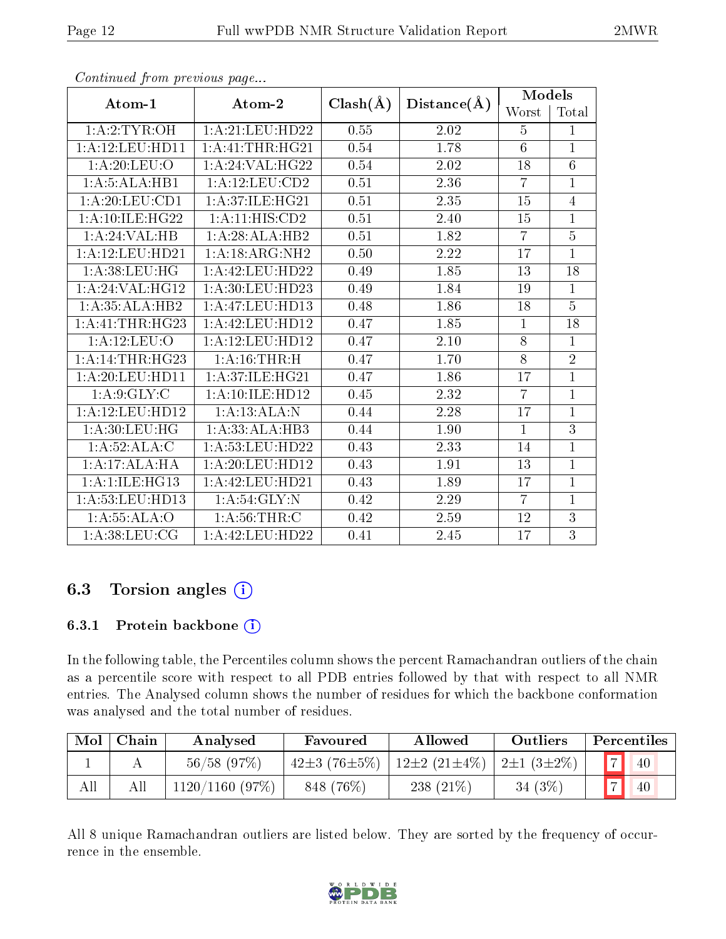| Atom-1                         | Atom-2                       | $Clash(\AA)$ | Distance(A) | <b>Models</b>    |                 |  |
|--------------------------------|------------------------------|--------------|-------------|------------------|-----------------|--|
|                                |                              |              |             | Worst            | Total           |  |
| 1: A:2:TYR:OH                  | 1: A:21: LEU: HD22           | 0.55         | 2.02        | $\overline{5}$   | 1               |  |
| 1:A:12:LEU:HD11                | 1:A:41:THR:HG21              | 0.54         | 1.78        | $\boldsymbol{6}$ | $\overline{1}$  |  |
| 1: A:20: LEU:O                 | 1:A:24:VAL:HG22              | 0.54         | 2.02        | 18               | 6               |  |
| 1:A:5:ALA:HB1                  | 1:A:12:LEU:CD2               | 0.51         | 2.36        | $\overline{7}$   | $\mathbf{1}$    |  |
| 1: A:20: LEU:CD1               | 1:A:37:ILE:HG21              | 0.51         | 2.35        | 15               | $\overline{4}$  |  |
| 1: A:10: ILE: H <sub>G22</sub> | 1:A:11:HIS:CD2               | 0.51         | 2.40        | 15               | $\overline{1}$  |  |
| 1:A:24:VAL:HB                  | 1:A:28:ALA:HB2               | 0.51         | 1.82        | $\overline{7}$   | $\overline{5}$  |  |
| 1:A:12:LEU:HD21                | 1: A: 18: ARG: NH2           | 0.50         | 2.22        | 17               | $\overline{1}$  |  |
| 1:A:38:LEU:HG                  | 1:A:42:LEU:HD22              | 0.49         | 1.85        | 13               | $\overline{18}$ |  |
| 1:A:24:VAL:HG12                | 1: A:30: LEU:HD23            | 0.49         | 1.84        | 19               | $\overline{1}$  |  |
| 1:A:35:ALA:HB2                 | 1:A:47:LEU:HD13              | 0.48         | 1.86        | 18               | $\overline{5}$  |  |
| 1:A:41:THR:HG23                | 1: A:42:LEU:HD12             | 0.47         | 1.85        | $\mathbf{1}$     | 18              |  |
| 1:A:12:LEU:O                   | 1: A: 12: LEU: HD12          | 0.47         | 2.10        | $8\,$            | 1               |  |
| 1:A:14:THR:HG23                | 1: A:16:THR:H                | 0.47         | 1.70        | 8                | $\overline{2}$  |  |
| 1: A:20:LEU:HD11               | 1: A:37: ILE: HG21           | 0.47         | 1.86        | 17               | $\mathbf{1}$    |  |
| 1: A:9: GLY: C                 | 1: A: 10: ILE: HD12          | 0.45         | 2.32        | $\overline{7}$   | $\mathbf 1$     |  |
| 1:A:12:LEU:HD12                | 1:A:13:ALA:N                 | 0.44         | 2.28        | 17               | 1               |  |
| 1:A:30:LEU:HG                  | 1:A:33:ALA:HB3               | 0.44         | 1.90        | $\mathbf{1}$     | $\overline{3}$  |  |
| 1:A:52:ALA:C                   | 1: A:53: LEU: HD22           | 0.43         | 2.33        | 14               | $\overline{1}$  |  |
| 1:A:17:ALA:HA                  | 1: A:20:LEU:HD12             | 0.43         | 1.91        | 13               | $\overline{1}$  |  |
| 1: A:1: ILE: HG13              | 1: A: 42: LEU: HD21          | 0.43         | 1.89        | 17               | $\mathbf{1}$    |  |
| 1:A:53:LEU:HD13                | 1: A:54: GLY:N               | 0.42         | 2.29        | $\overline{7}$   | $\overline{1}$  |  |
| 1:A:55:ALA:O                   | 1: A:56:THR:C                | 0.42         | 2.59        | 12               | $\overline{3}$  |  |
| 1: A:38: LEU: CG               | $1: A: 42: \text{LEU:HD}$ 22 | 0.41         | 2.45        | 17               | 3               |  |

Continued from previous page...

## 6.3 Torsion angles  $(i)$

### 6.3.1 Protein backbone (i)

In the following table, the Percentiles column shows the percent Ramachandran outliers of the chain as a percentile score with respect to all PDB entries followed by that with respect to all NMR entries. The Analysed column shows the number of residues for which the backbone conformation was analysed and the total number of residues.

| Mol | Chain | Analysed          | Favoured                 | Allowed            | Outliers               | Percentiles |
|-----|-------|-------------------|--------------------------|--------------------|------------------------|-------------|
|     |       | $56/58$ (97\%)    | 42 $\pm$ 3 (76 $\pm$ 5%) | $12\pm2(21\pm4\%)$ | $12 \pm 1 (3 \pm 2\%)$ | 40          |
| All | All   | $1120/1160$ (97%) | 848 (76%)                | 238 $(21\%)$       | 34 $(3%)$              | 40          |

All 8 unique Ramachandran outliers are listed below. They are sorted by the frequency of occurrence in the ensemble.

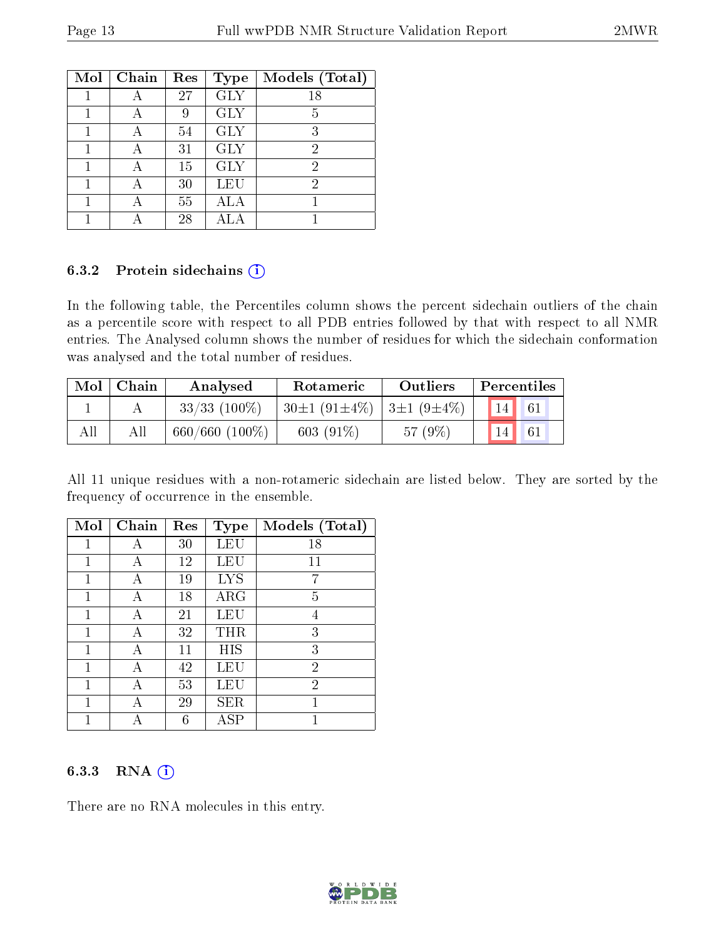| Mol | Chain | Res | <b>Type</b> | Models (Total) |
|-----|-------|-----|-------------|----------------|
|     |       | 27  | <b>GLY</b>  | 18             |
|     |       | 9   | <b>GLY</b>  | 5              |
|     |       | 54  | <b>GLY</b>  | 3              |
|     |       | 31  | <b>GLY</b>  | 2              |
|     |       | 15  | <b>GLY</b>  | 2              |
|     |       | 30  | LEU         | 2              |
|     |       | 55  | ALA         |                |
|     |       | 28  |             |                |

#### 6.3.2 Protein sidechains (i)

In the following table, the Percentiles column shows the percent sidechain outliers of the chain as a percentile score with respect to all PDB entries followed by that with respect to all NMR entries. The Analysed column shows the number of residues for which the sidechain conformation was analysed and the total number of residues.

| Mol | Chain | Analysed            | Rotameric                            | Outliers | Percentiles           |
|-----|-------|---------------------|--------------------------------------|----------|-----------------------|
|     |       | $33/33$ (100\%)     | $30\pm1(91\pm4\%)$ 3 $\pm1(9\pm4\%)$ |          | $\vert$ 14 $\vert$ 61 |
| All | All   | $660/660$ $(100\%)$ | 603 $(91\%)$                         | 57(9%)   | 14<br>61              |

All 11 unique residues with a non-rotameric sidechain are listed below. They are sorted by the frequency of occurrence in the ensemble.

| Mol | Chain | Res | <b>Type</b> | Models (Total) |
|-----|-------|-----|-------------|----------------|
| 1   | А     | 30  | LEU         | 18             |
| 1   | А     | 12  | LEU         | 11             |
|     | А     | 19  | <b>LYS</b>  |                |
| 1   | А     | 18  | ARG         | 5              |
| 1   | А     | 21  | LEU         | 4              |
| 1   | А     | 32  | THR         | 3              |
| 1   | А     | 11  | НIS         | 3              |
| 1   |       | 42  | LEU         | $\overline{2}$ |
| 1   | А     | 53  | LEU         | $\overline{2}$ |
|     | А     | 29  | SER         |                |
|     |       | 6   | ${\rm ASP}$ |                |

### 6.3.3 RNA [O](https://www.wwpdb.org/validation/2017/NMRValidationReportHelp#rna)i

There are no RNA molecules in this entry.

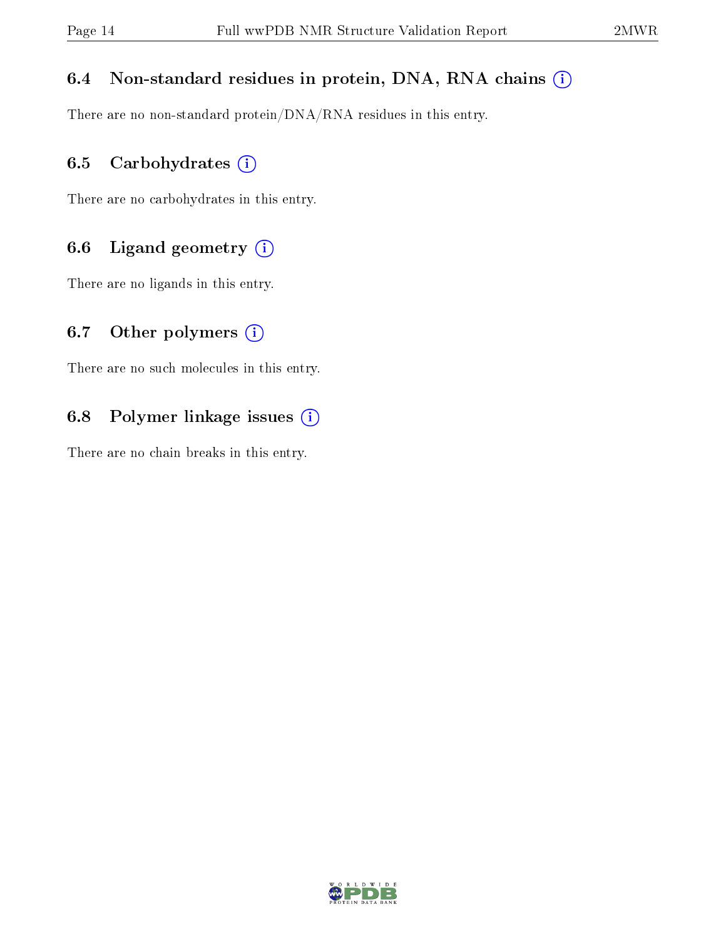## 6.4 Non-standard residues in protein, DNA, RNA chains (i)

There are no non-standard protein/DNA/RNA residues in this entry.

## 6.5 Carbohydrates  $(i)$

There are no carbohydrates in this entry.

## 6.6 Ligand geometry  $(i)$

There are no ligands in this entry.

## 6.7 [O](https://www.wwpdb.org/validation/2017/NMRValidationReportHelp#nonstandard_residues_and_ligands)ther polymers  $(i)$

There are no such molecules in this entry.

## 6.8 Polymer linkage issues  $(i)$

There are no chain breaks in this entry.

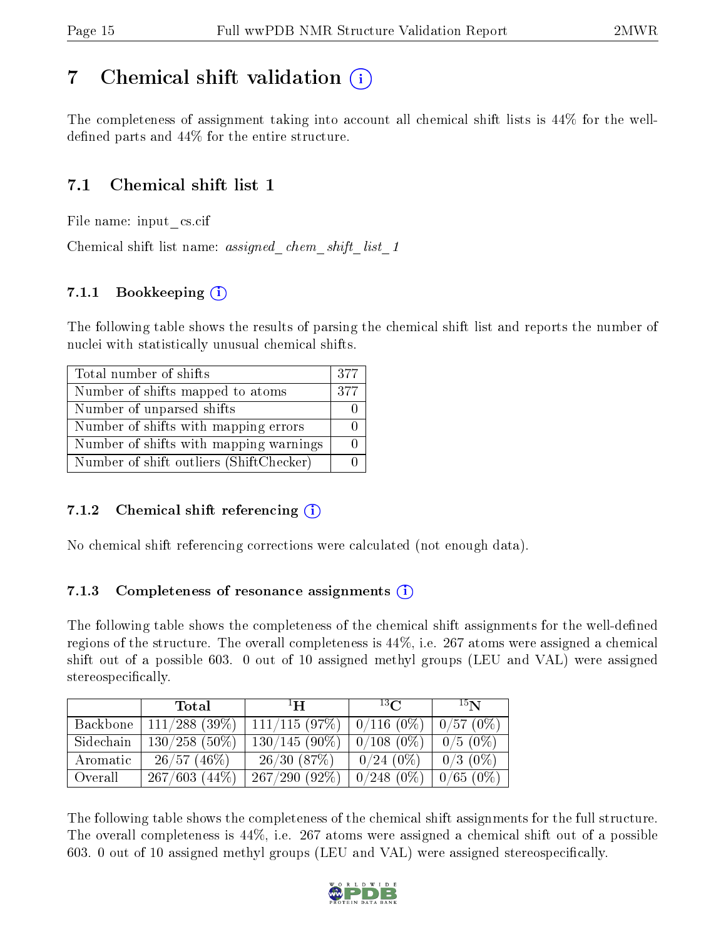## <span id="page-14-0"></span>7 Chemical shift validation  $\left( \begin{array}{c} \overline{1} \end{array} \right)$

The completeness of assignment taking into account all chemical shift lists is 44% for the welldefined parts and  $44\%$  for the entire structure.

## 7.1 Chemical shift list 1

File name: input\_cs.cif

Chemical shift list name: assigned chem shift list 1

## 7.1.1 Bookkeeping  $(i)$

The following table shows the results of parsing the chemical shift list and reports the number of nuclei with statistically unusual chemical shifts.

| Total number of shifts                  | 377 |
|-----------------------------------------|-----|
| Number of shifts mapped to atoms        | 377 |
| Number of unparsed shifts               |     |
| Number of shifts with mapping errors    |     |
| Number of shifts with mapping warnings  |     |
| Number of shift outliers (ShiftChecker) |     |

## 7.1.2 Chemical shift referencing  $\hat{I}$

No chemical shift referencing corrections were calculated (not enough data).

### 7.1.3 Completeness of resonance assignments  $(i)$

The following table shows the completeness of the chemical shift assignments for the well-defined regions of the structure. The overall completeness is 44%, i.e. 267 atoms were assigned a chemical shift out of a possible 603. 0 out of 10 assigned methyl groups (LEU and VAL) were assigned stereospecifically.

|           | Total           | $\mathbf{H}$    | $^{13}$ C    | 15 <sub>N</sub> |
|-----------|-----------------|-----------------|--------------|-----------------|
| Backbone  | $111/288$ (39%) | 111/115(97%)    | $0/116(0\%)$ | 0/57(0%)        |
| Sidechain | $130/258$ (50%) | $130/145(90\%)$ | $0/108(0\%)$ | $0/5(0\%)$      |
| Aromatic  | 26/57(46%)      | 26/30(87%)      | $0/24(0\%)$  | $0/3$ (0\%)     |
| Overall   | 267/603(44%)    | 267/290(92%)    | $0/248(0\%)$ | $0/65~(0\%)$    |

The following table shows the completeness of the chemical shift assignments for the full structure. The overall completeness is 44%, i.e. 267 atoms were assigned a chemical shift out of a possible 603. 0 out of 10 assigned methyl groups (LEU and VAL) were assigned stereospecifically.